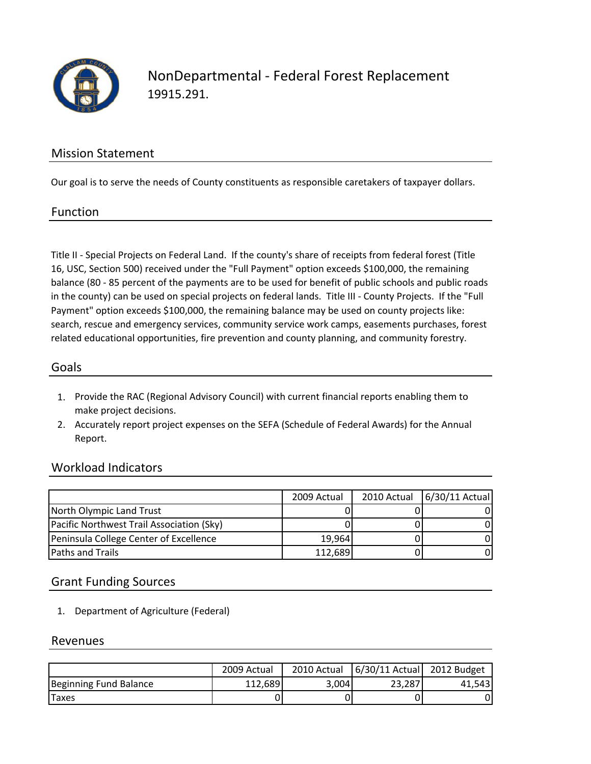

NonDepartmental ‐ Federal Forest Replacement 19915.291.

### Mission Statement

Our goal is to serve the needs of County constituents as responsible caretakers of taxpayer dollars.

#### Function

Title II ‐ Special Projects on Federal Land. If the county's share of receipts from federal forest (Title 16, USC, Section 500) received under the "Full Payment" option exceeds \$100,000, the remaining balance (80 ‐ 85 percent of the payments are to be used for benefit of public schools and public roads in the county) can be used on special projects on federal lands. Title III ‐ County Projects. If the "Full Payment" option exceeds \$100,000, the remaining balance may be used on county projects like: search, rescue and emergency services, community service work camps, easements purchases, forest related educational opportunities, fire prevention and county planning, and community forestry.

### Goals

- 1. Provide the RAC (Regional Advisory Council) with current financial reports enabling them to make project decisions.
- 2. Accurately report project expenses on the SEFA (Schedule of Federal Awards) for the Annual Report.

### Workload Indicators

|                                           | 2009 Actual | 2010 Actual | 6/30/11 Actual |
|-------------------------------------------|-------------|-------------|----------------|
| North Olympic Land Trust                  |             |             |                |
| Pacific Northwest Trail Association (Sky) |             |             |                |
| Peninsula College Center of Excellence    | 19,964      |             |                |
| <b>Paths and Trails</b>                   | 112,689     |             |                |

### Grant Funding Sources

1. Department of Agriculture (Federal)

#### Revenues

|                        | 2009 Actual | 2010 Actual | 6/30/11 Actual 2012 Budget |        |
|------------------------|-------------|-------------|----------------------------|--------|
| Beginning Fund Balance | 112,689     | 3,004       | 23.287                     | 41.543 |
| <b>Taxes</b>           |             |             |                            |        |